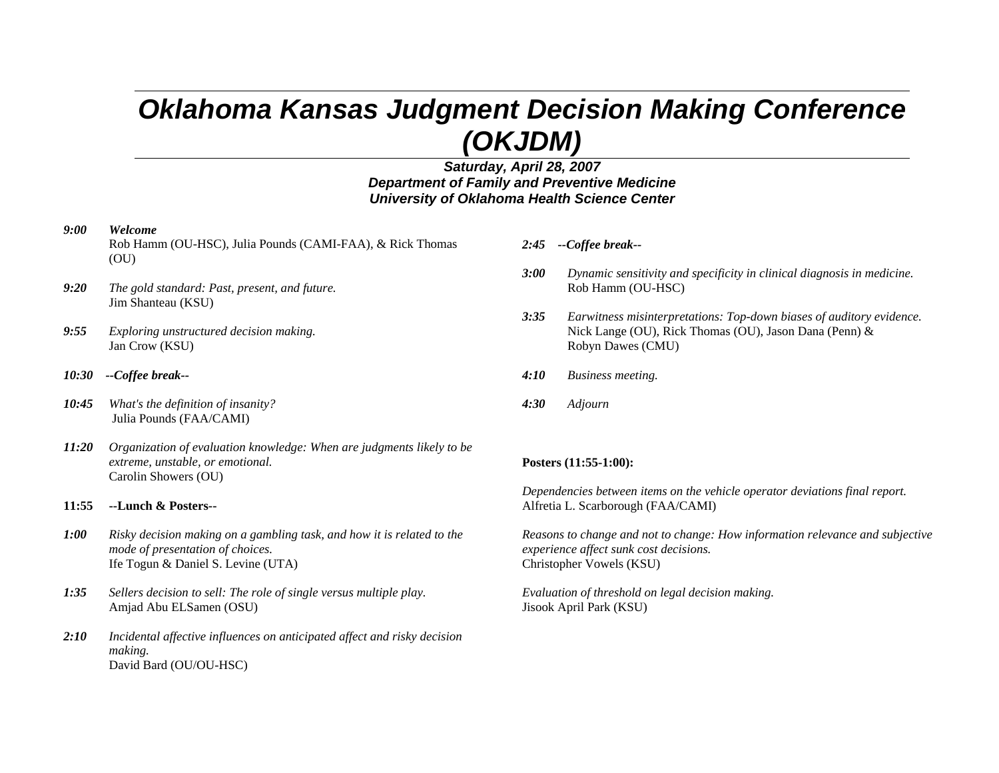# *Oklahoma Kansas Judgment Decision Making Conference (OKJDM)*

### *Saturday, April 28, 2007 Department of Family and Preventive Medicine University of Oklahoma Health Science Center*

#### *9:00 Welcome*

- Rob Hamm (OU-HSC), Julia Pounds (CAMI-FAA), & Rick Thomas (OU)
- *9:20 The gold standard: Past, present, and future.*  Jim Shanteau (KSU)
- *9:55 Exploring unstructured decision making.*  Jan Crow (KSU)
- *10:30 --Coffee break--*
- *10:45 What's the definition of insanity?* Julia Pounds (FAA/CAMI)
- *11:20 Organization of evaluation knowledge: When are judgments likely to be extreme, unstable, or emotional.*  Carolin Showers (OU)
- **11:55 --Lunch & Posters--**
- *1:00 Risky decision making on a gambling task, and how it is related to the mode of presentation of choices.*  Ife Togun & Daniel S. Levine (UTA)
- *1:35 Sellers decision to sell: The role of single versus multiple play.*  Amjad Abu ELSamen (OSU)
- *2:10 Incidental affective influences on anticipated affect and risky decision making.*  David Bard (OU/OU-HSC)
- *2:45 --Coffee break--*
- *3:00 Dynamic sensitivity and specificity in clinical diagnosis in medicine.* Rob Hamm (OU-HSC)
- *3:35 Earwitness misinterpretations: Top-down biases of auditory evidence.*  Nick Lange (OU), Rick Thomas (OU), Jason Dana (Penn) & Robyn Dawes (CMU)
- *4:10 Business meeting.*
- *4:30 Adjourn*

#### **Posters (11:55-1:00):**

*Dependencies between items on the vehicle operator deviations final report.* Alfretia L. Scarborough (FAA/CAMI)

*Reasons to change and not to change: How information relevance and subjective experience affect sunk cost decisions.*  Christopher Vowels (KSU)

*Evaluation of threshold on legal decision making.*  Jisook April Park (KSU)